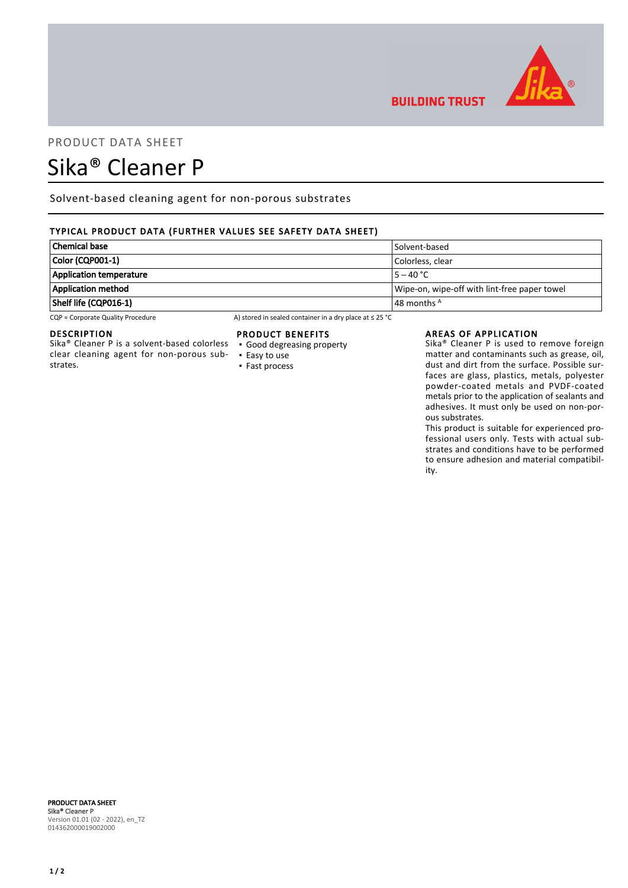

## PRODUCT DATA SHEET

# Sika® Cleaner P

Solvent-based cleaning agent for non-porous substrates

### TYPICAL PRODUCT DATA (FURTHER VALUES SEE SAFETY DATA SHEET)

| ' Chemical base         | Solvent-based                                |
|-------------------------|----------------------------------------------|
| Color (CQP001-1)        | Colorless, clear                             |
| Application temperature | $15 - 40 °C$                                 |
| Application method      | Wipe-on, wipe-off with lint-free paper towel |
| Shelf life (CQP016-1)   | 48 months <sup>A</sup>                       |

CQP = Corporate Quality Procedure A) stored in sealed container in a dry place at ≤ 25 °C

#### DESCRIPTION

Sika® Cleaner P is a solvent-based colorless clear cleaning agent for non-porous substrates.

#### PRODUCT BENEFITS

- Good degreasing property
- Easy to use ▪ Fast process

#### AREAS OF APPLICATION

**BUILDING TRUST** 

Sika® Cleaner P is used to remove foreign matter and contaminants such as grease, oil, dust and dirt from the surface. Possible surfaces are glass, plastics, metals, polyester powder-coated metals and PVDF-coated metals prior to the application of sealants and adhesives. It must only be used on non-porous substrates.

This product is suitable for experienced professional users only. Tests with actual substrates and conditions have to be performed to ensure adhesion and material compatibility.

#### PRODUCT DATA SHEET Sika® Cleaner P Version 01.01 (02 - 2022), en\_TZ 014362000019002000